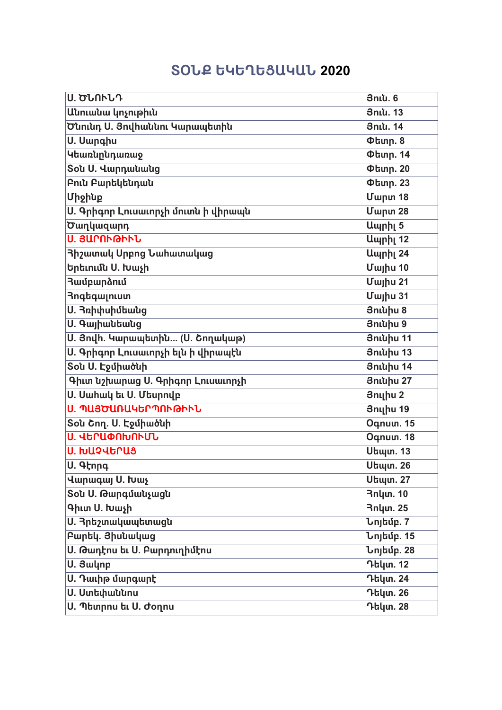## **îúÜø ԵԿԵՂԵò²Կ²Ü 2020**

| <b>Ս. ԾՆՈՒՆԴ</b>                    | <b>3niu.6</b>                   |
|-------------------------------------|---------------------------------|
| Անուանա կոչութիւն                   | <b>3niu. 13</b>                 |
| Ծնունդ Ս. Յովհաննու Կարապետին       | 3ntu. 14                        |
| U. Uwnahu                           | $Phi$ unn. 8                    |
| Կեառնընդառաջ                        | <b>Փետր. 14</b>                 |
| <b>Sou U. Վարդանանց</b>             | <b><i><u>Otunp. 20</u></i></b>  |
| Բուն Բարեկենդան                     | <b>Փետր. 23</b>                 |
| Միջինք                              | <b>Uwnun 18</b>                 |
| Ս. Գրիգոր Լուսաւորչի մուտն ի վիրապն | <b>Uwnw</b> 28                  |
| Ծաղկազարդ                           | Ապրիլ 5                         |
| Ս. ՅԱՐՈՒԹԻՒՆ                        | Ապրիլ 12                        |
| <b>3իշատակ Սրբոց Նահատակաց</b>      | Ապրիլ 24                        |
| Երեւումն Ս. Խաչի                    | <b>Uwjhu 10</b>                 |
| <b>3ամբարձում</b>                   | <b>Uwjhu 21</b>                 |
| <b>Rngbqwinium</b>                  | Uwjhu 31                        |
| Ս. Յռիփսիմեանց                      | 3niuhu 8                        |
| <b>U. Գայիանեանց</b>                | 3niuhu 9                        |
| Ս. Յովի. Կարապետին (Ս. Շողակաթ)     | <b>3niuhu 11</b>                |
| Ս. Գրիգոր Լուսաւորչի ելն ի վիրապէն  | 3niuhu 13                       |
| Sou U. Էջմիածնի                     | <b>3niuhu 14</b>                |
| Գիւտ նշխարաց Ս. Գրիգոր Լուսաւորչի   | <b>3niuhu 27</b>                |
| Ս. Սահակ եւ Ս. Մեսրովբ              | 3nılhu 2                        |
| Ս. ՊԱՅԾԱՌԱԿԵՐՊՈՒԹԻՒՆ                | <b>3n</b> uhu 19                |
| Sou Շող. Ս. Էջմիածնի                | Oqnum. 15                       |
| Ս. ՎԵՐԱՓՈԽՈՒՄՆ                      | Oqnum. 18                       |
| <b>U. ԽԱՉՎԵՐԱՑ</b>                  | <b>Utiuun. 13</b>               |
| $\overline{U}$ . 4 $k$ nna          | <b>Utaun. 26</b>                |
| Վարագայ Ս. Խաչ                      | <b>Utuun. 27</b>                |
| Sou U. Թարգմանչացն                  | <b>3nlun. 10</b>                |
| Գիւտ Ս. Խաչի                        | <b>3nlun. 25</b>                |
| Ս. Յրեշտակապետացն                   | Նոյեմբ. 7                       |
| Բարեկ. Յիսնակաց                     | <b>Նոյեմբ.</b> 15               |
| <b>Ս. Թադէոս եւ Ս. Բարդուղիմէոս</b> | $\overline{\text{L}}$ ոլեմբ. 28 |
| U. 3wynp                            | Դեկտ. 12                        |
| Ս. Դաւիթ մարգարէ                    | Դեկտ. 24                        |
| <b>U. Ստեփաննոս</b>                 | Դեկտ. 26                        |
| Ս. Պետրոս եւ Ս. Ժօղոս               | <b>Դեկտ. 28</b>                 |